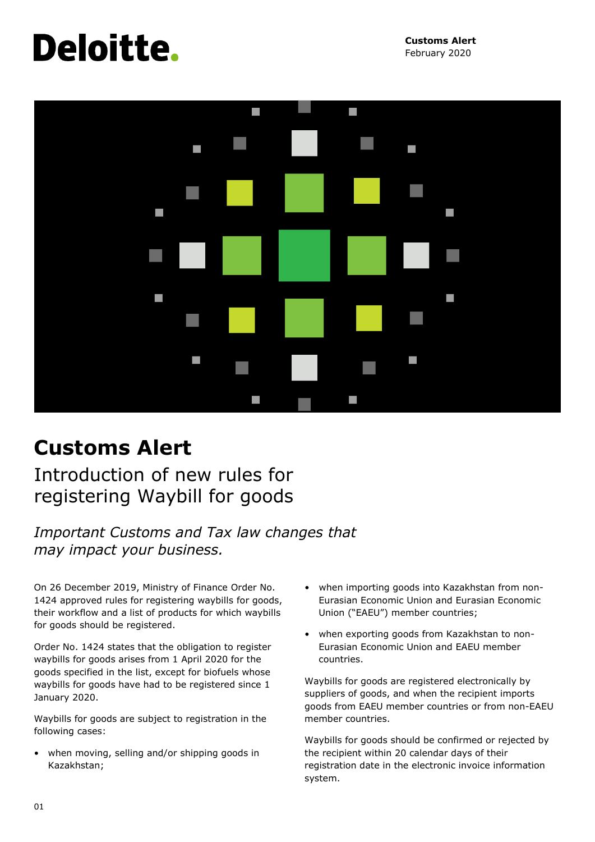# Deloitte.

**Customs Alert** February 2020



### **Customs Alert**

Introduction of new rules for registering Waybill for goods

*Important Customs and Tax law changes that may impact your business.*

On 26 December 2019, Ministry of Finance Order No. 1424 approved rules for registering waybills for goods, their workflow and a list of products for which waybills for goods should be registered.

Order No. 1424 states that the obligation to register waybills for goods arises from 1 April 2020 for the goods specified in the list, except for biofuels whose waybills for goods have had to be registered since 1 January 2020.

Waybills for goods are subject to registration in the following cases:

• when moving, selling and/or shipping goods in Kazakhstan;

- when importing goods into Kazakhstan from non-Eurasian Economic Union and Eurasian Economic Union ("EAEU") member countries;
- when exporting goods from Kazakhstan to non-Eurasian Economic Union and EAEU member countries.

Waybills for goods are registered electronically by suppliers of goods, and when the recipient imports goods from EAEU member countries or from non-EAEU member countries.

Waybills for goods should be confirmed or rejected by the recipient within 20 calendar days of their registration date in the electronic invoice information system.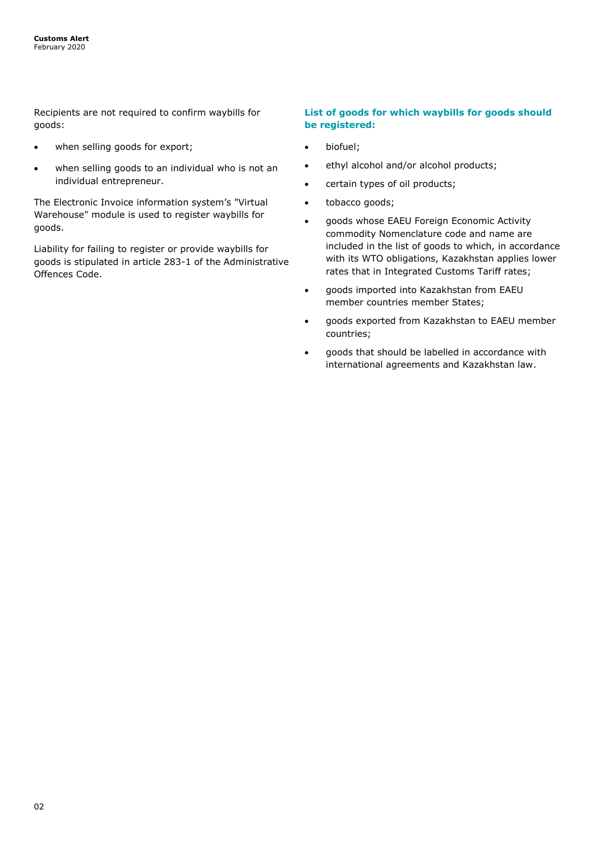Recipients are not required to confirm waybills for goods:

- when selling goods for export;
- when selling goods to an individual who is not an individual entrepreneur.

The Electronic Invoice information system's "Virtual Warehouse" module is used to register waybills for goods.

Liability for failing to register or provide waybills for goods is stipulated in article 283-1 of the Administrative Offences Code.

#### **List of goods for which waybills for goods should be registered:**

- biofuel;
- ethyl alcohol and/or alcohol products;
- certain types of oil products;
- tobacco goods;
- goods whose EAEU Foreign Economic Activity commodity Nomenclature code and name are included in the list of goods to which, in accordance with its WTO obligations, Kazakhstan applies lower rates that in Integrated Customs Tariff rates;
- goods imported into Kazakhstan from EAEU member countries member States;
- goods exported from Kazakhstan to EAEU member countries;
- goods that should be labelled in accordance with international agreements and Kazakhstan law.